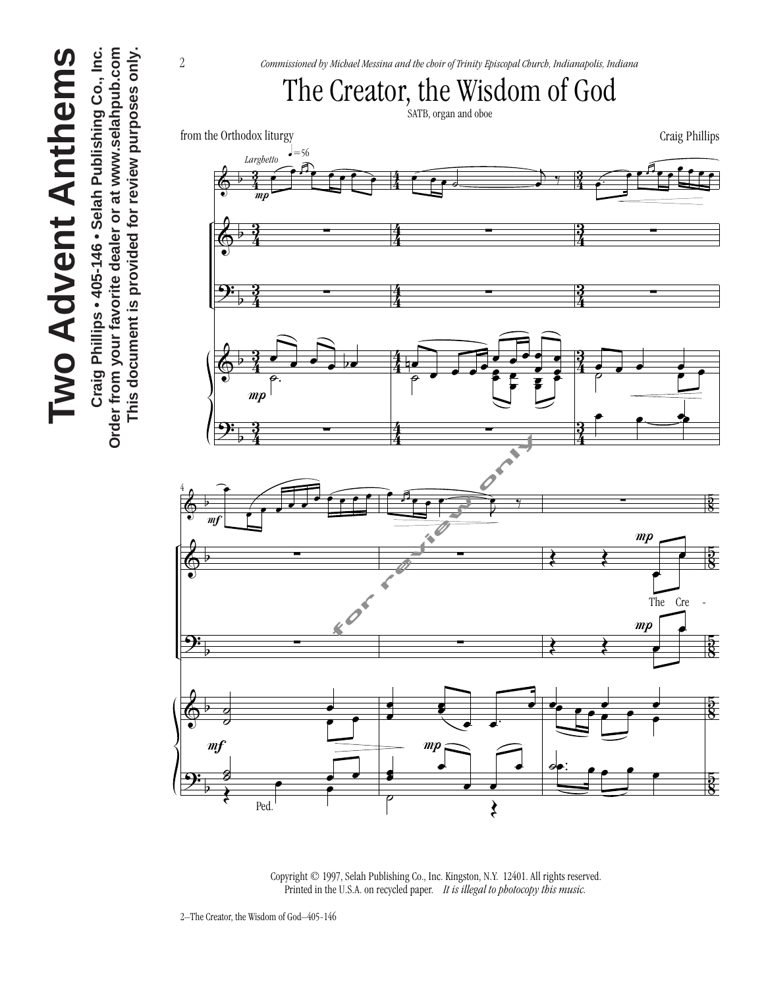Order from your favorite dealer or at www.selahpub.com Craig Phillips • 405-146 • Selah Publishing Co., Inc. **Craig Phillips • 405-146 • Selah Publishing Co., Inc. Order from your favorite dealer or at www.selahpub.com** This document is provided for review purposes only. **This document is provided for review purposes only.**

2 *Commissioned by Michael Messina and the choir of Trinity Episcopal Church, Indianapolis, Indiana* The Creator, the Wisdom of God SATB, organ and oboe from the Orthodox liturgy Craig Phillips  $=$  56 *Larghetto* œ. <sup>œ</sup> <sup>œ</sup> <sup>œ</sup> <sup>œ</sup> <sup>œ</sup> <sup>œ</sup> <sup>œ</sup> <sup>œ</sup> <sup>œ</sup> <sup>œ</sup>  $\frac{1}{2}$ <sup>œ</sup> <sup>œ</sup> <sup>œ</sup> ˙ <sup>j</sup>  $\frac{3}{4}$ 4 3  $\overline{ }$  $\bullet$   $\overline{\phantom{a}}$  $\bullet$ 4 4 P  $\frac{3}{4}$ 4  $\frac{3}{4}$  $\frac{1}{2}$ ∑ ∑ ∑ & 4 4 4  $\frac{y}{\sqrt{2}}$  $\frac{3}{4}$ 4  $\frac{3}{4}$ ∑ ∑ ∑  $\overline{ }$ 4 4 4  $\frac{3}{4}$ 4 <u>。。</u><br>。 œ  $\frac{3}{4}$  $\frac{e}{\phi}$ . œ  $\overline{ }$ µe<br>P & 4 4  $\overrightarrow{e}$ 4  $\overline{e}$   $\overline{e}$ œ  $\circ$   $\bullet$   $\bullet$   $\bullet$ P<br>|  $\begin{array}{ccc} \circ & \bullet \end{array}$  $\ddot{\bullet}$ ˙.  $\overline{\phantom{a}}$ œ œ œ mp P  $\overline{\phantom{a}}$  $\frac{y}{\sqrt{2}}$  $\frac{3}{4}$ 4  $\frac{3}{4}$ ∑  $\frac{f(x)}{f(x)}$ ∑  $\overline{ }$ 4 4 4 4 œ  $\frac{1}{\sqrt{2}}$ œ <sup>œ</sup> <sup>œ</sup> <sup>œ</sup> <sup>œ</sup> <sup>œ</sup> <sup>œ</sup> <sup>œ</sup> <sup>œ</sup> <sup>œ</sup> 8 5  $5^{\circ}$  $\overline{\phantom{a}}$ ∑ &  $\overline{\phantom{a}}$  $\frac{r}{\sqrt{r}}$ <u>ह</u><br>8 œ  $\frac{1}{2}$ ∑ ∑  $\frac{1}{2}$ &  $\circ$ œ The Cre  $\frac{1}{\sqrt{2}}$ Ē  $\frac{y}{x}$  $\frac{8}{5}$ ∑ ∑  $\frac{1}{2}$ œ  $\overline{ }$  $\circ$  $\frac{8}{5}$ œ œ  $\bullet$   $\bullet$   $\bullet$ œœ <sup>œ</sup> <sup>œ</sup> <sup>œ</sup> <sup>œ</sup> <sup>œ</sup> <sup>œ</sup> œ  $\frac{1}{2}$ ˙ œ œ &  $\circ$ œ  $\begin{array}{ccc} \circ & & \bullet \end{array}$  $m<sub>f</sub>$  $\frac{1}{\sqrt{2}}$  $\frac{1}{\sqrt{2}}$  $\overset{\circ}{\bullet}$  .  $\overset{\bullet}{\bullet}$   $\overset{\bullet}{\bullet}$  $\bullet$ œ з<br><u>≹</u> е е  $\frac{5}{8}$  $\frac{y}{x}$  $\breve{\vec{\bm{x}}}$ œ  $\overline{\phantom{a}}$  $\overline{ }$  $\circ$ Ped.  $\sim$   $\sim$  $\boldsymbol{\xi}$ 

 Copyright © 1997, Selah Publishing Co., Inc. Kingston, N.Y. 12401. All rights reserved. Printed in the U.S.A. on recycled paper. *It is illegal to photocopy this music.*

2–The Creator, the Wisdom of God–405-146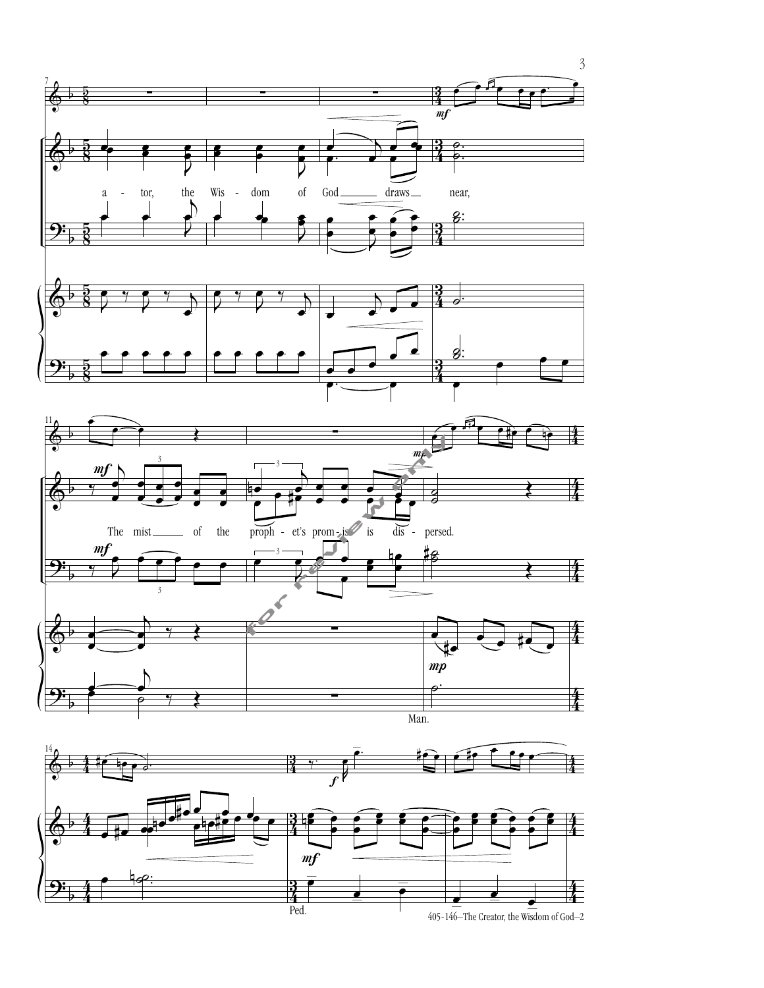

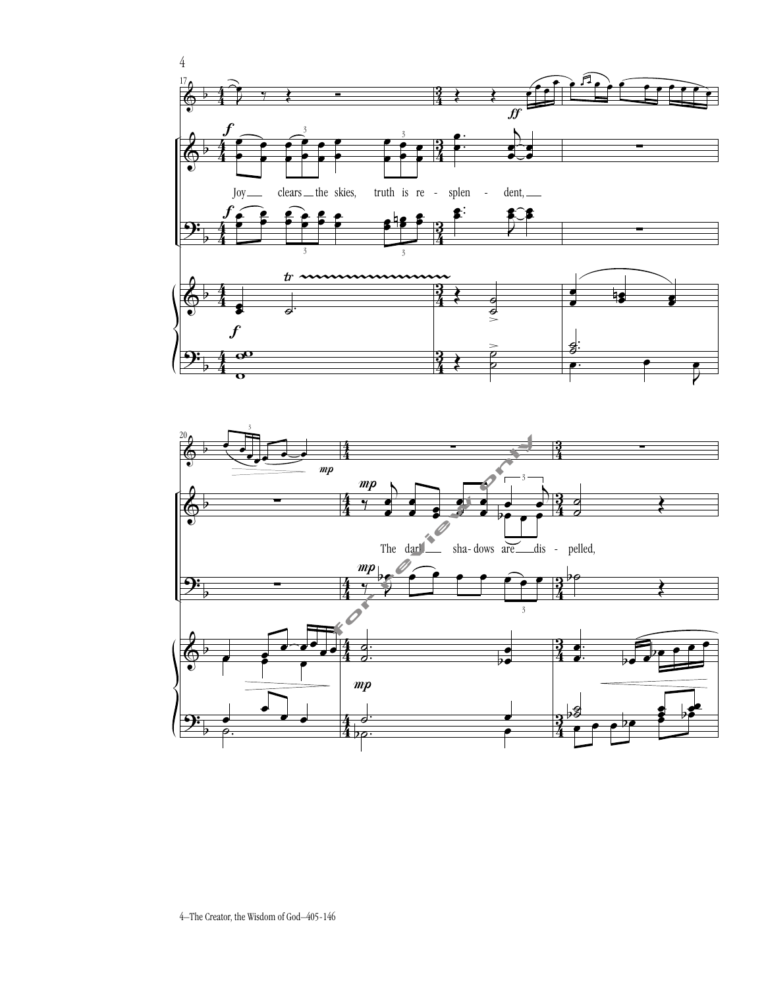



4–The Creator, the Wisdom of God–405-146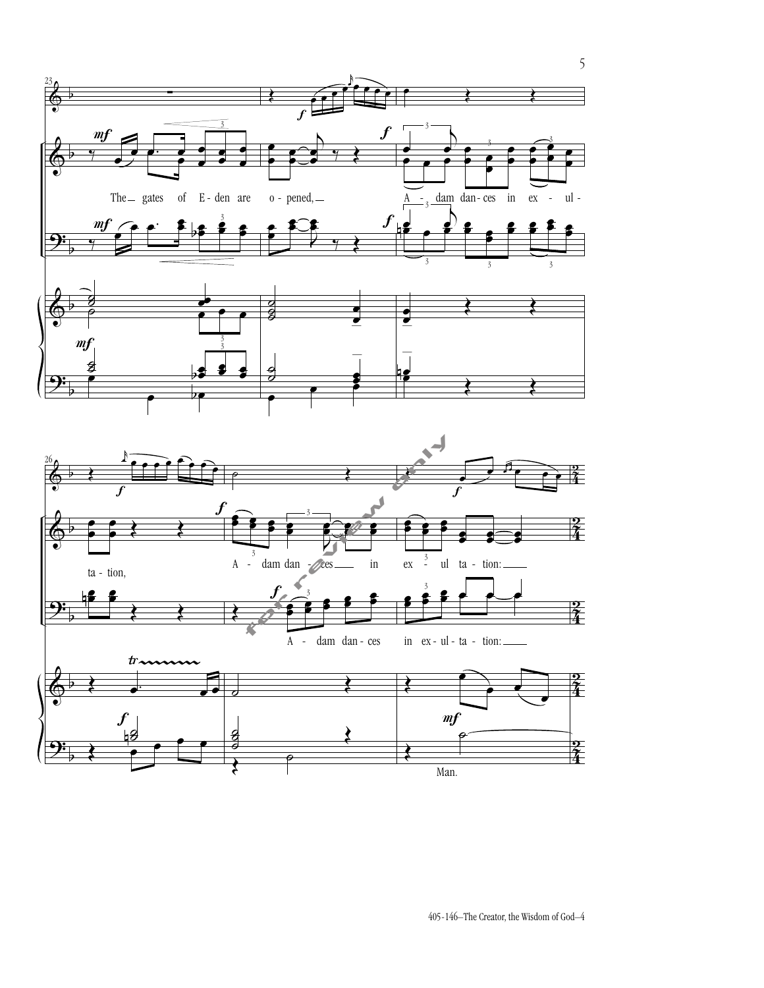

405-146–The Creator, the Wisdom of God–4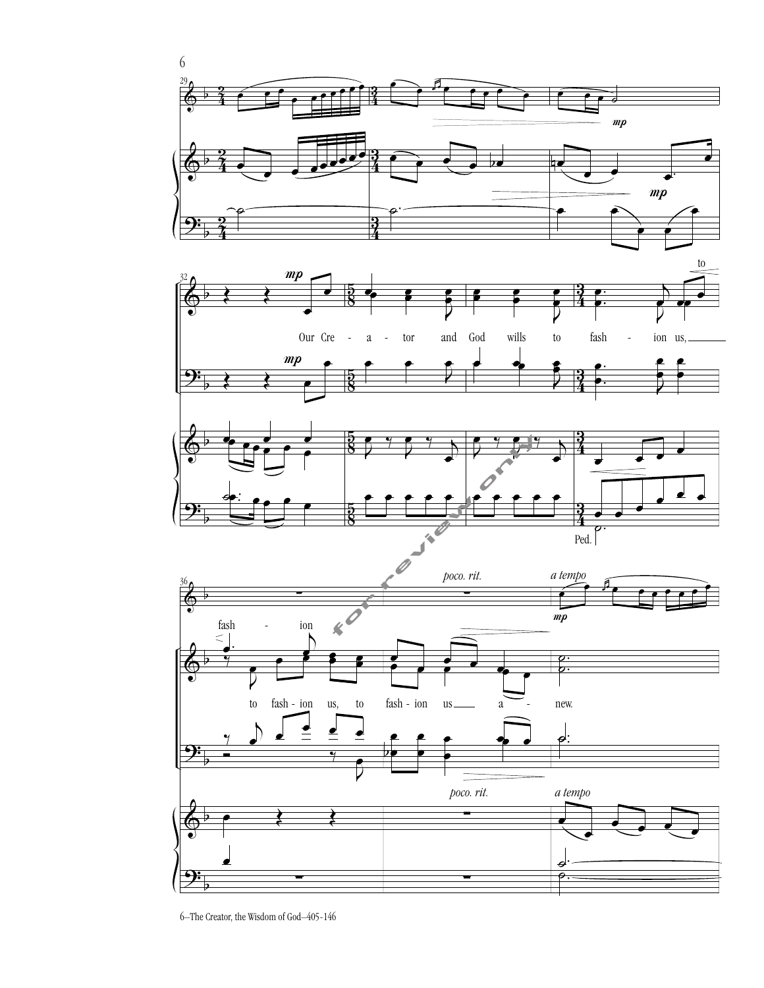

6–The Creator, the Wisdom of God–405-146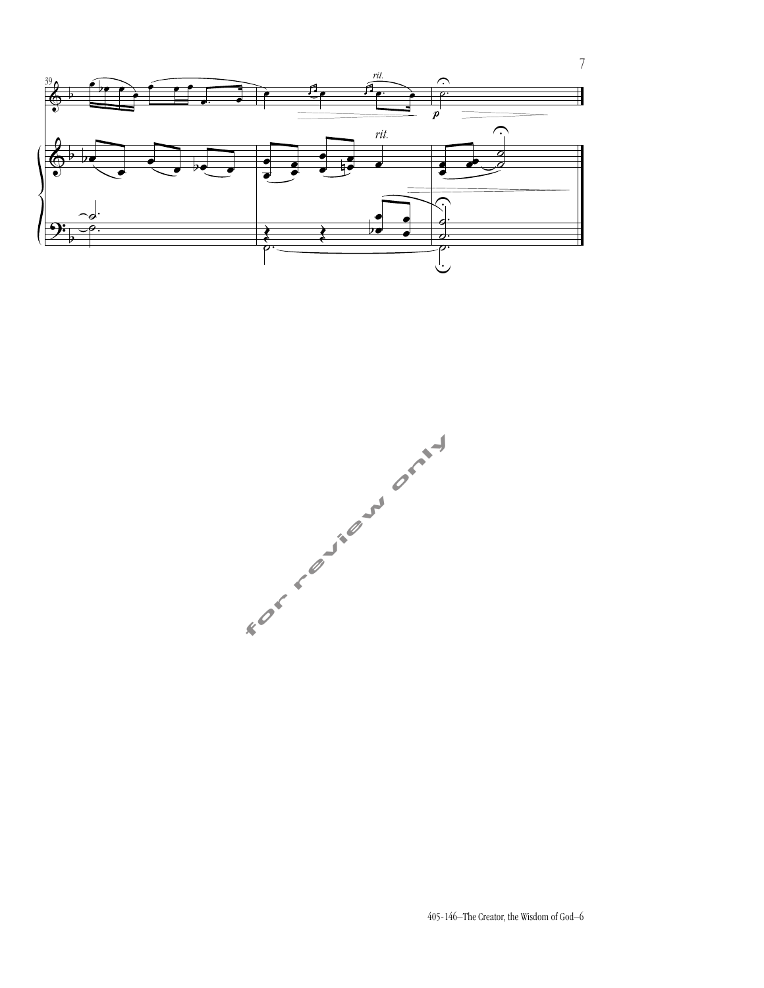



7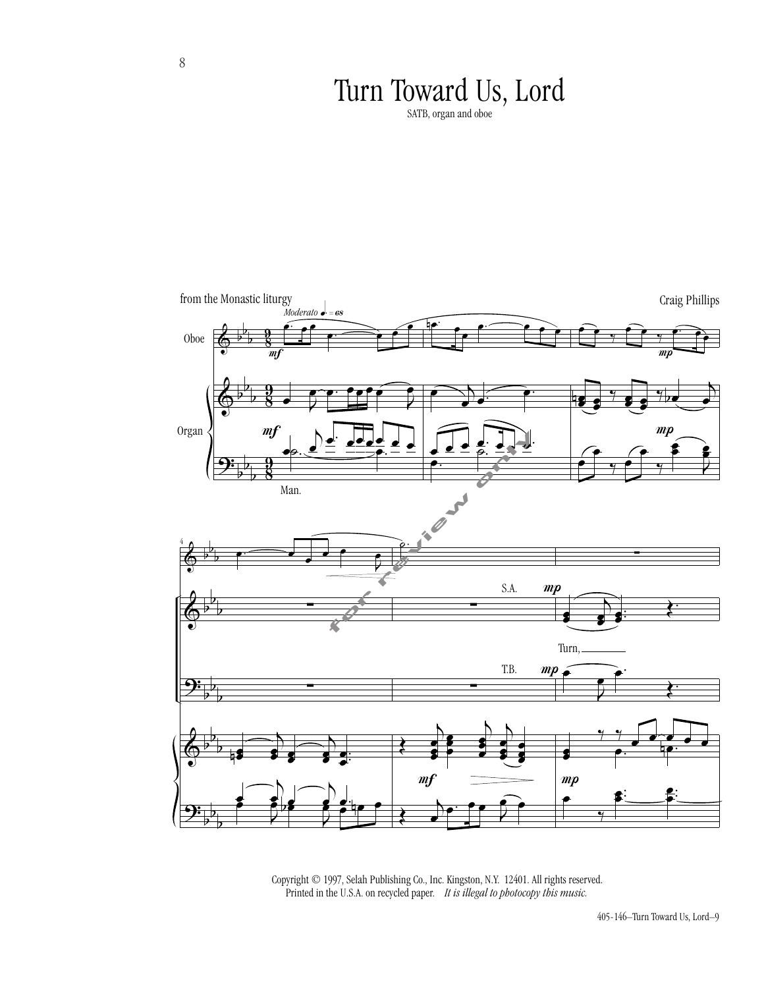## Turn Toward Us, Lord

SATB, organ and oboe



 Copyright © 1997, Selah Publishing Co., Inc. Kingston, N.Y. 12401. All rights reserved. Printed in the U.S.A. on recycled paper. *It is illegal to photocopy this music.*

8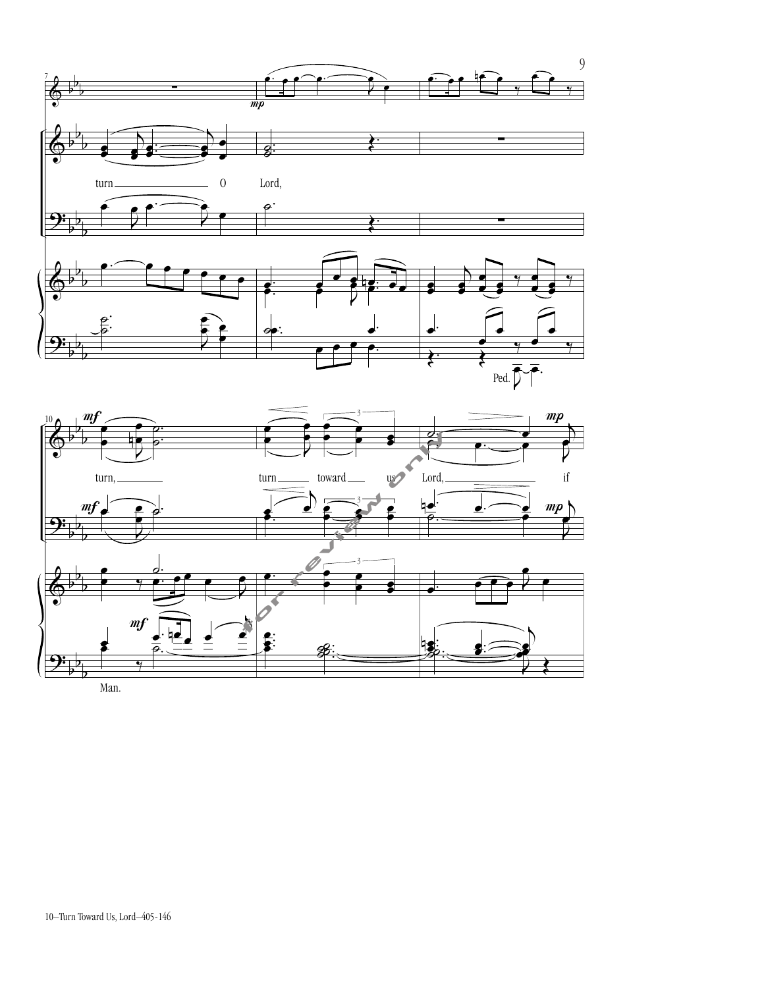

.<br>.<br>.

. . ˙  $\blacksquare$ ˙˙

 $\Rightarrow$ 

 $\overline{\phantom{a}}$ 

 $\overline{\phantom{a}}$ 

 $\mathbb{P}^2$ 

œ



Man.

 $\frac{1}{\sqrt{2}}$ 

 $\frac{1}{\frac{1}{\frac{1}{\sqrt{1-\frac{1}{\sqrt{1-\frac{1}{\sqrt{1-\frac{1}{\sqrt{1-\frac{1}{\sqrt{1-\frac{1}{\sqrt{1-\frac{1}{\sqrt{1-\frac{1}{\sqrt{1-\frac{1}{\sqrt{1-\frac{1}{\sqrt{1-\frac{1}{\sqrt{1-\frac{1}{\sqrt{1-\frac{1}{\sqrt{1-\frac{1}{\sqrt{1-\frac{1}{\sqrt{1-\frac{1}{\sqrt{1-\frac{1}{\sqrt{1-\frac{1}{\sqrt{1-\frac{1}{\sqrt{1-\frac{1}{\sqrt{1-\frac{1}{\sqrt{1-\frac{1}{\sqrt{1-\frac{1}{\sqrt{1-\frac{$ 

 $\frac{y}{\sqrt{2}}$ 

b  $\frac{1}{1}$ r<br>-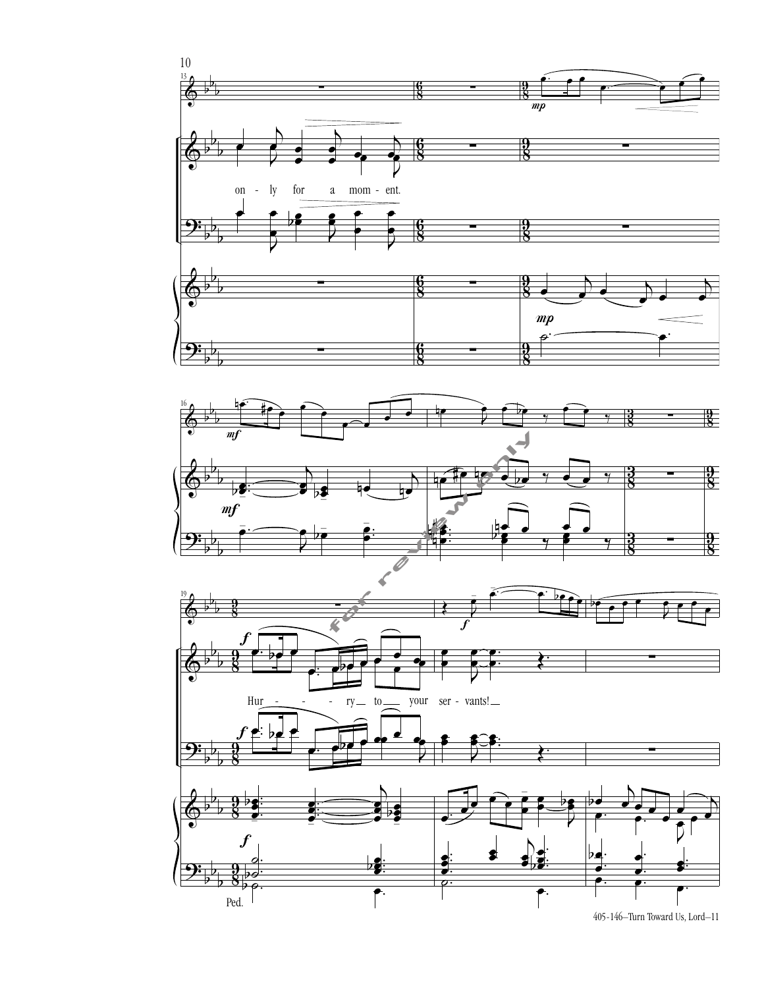

<sup>405-146–</sup>Turn Toward Us, Lord–11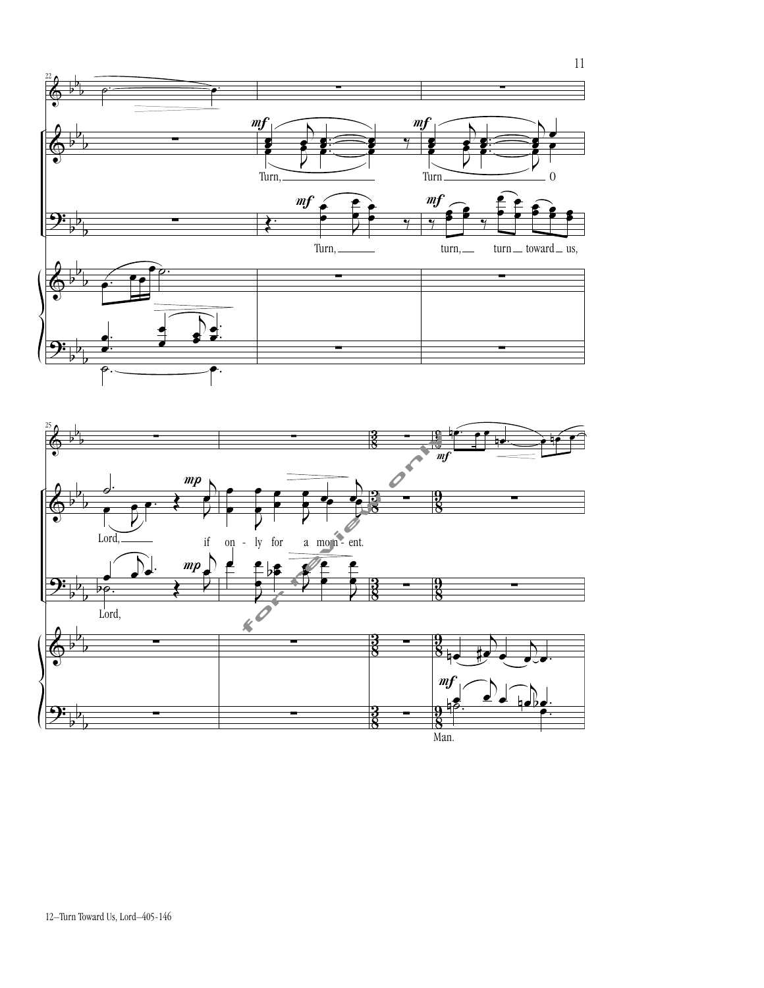



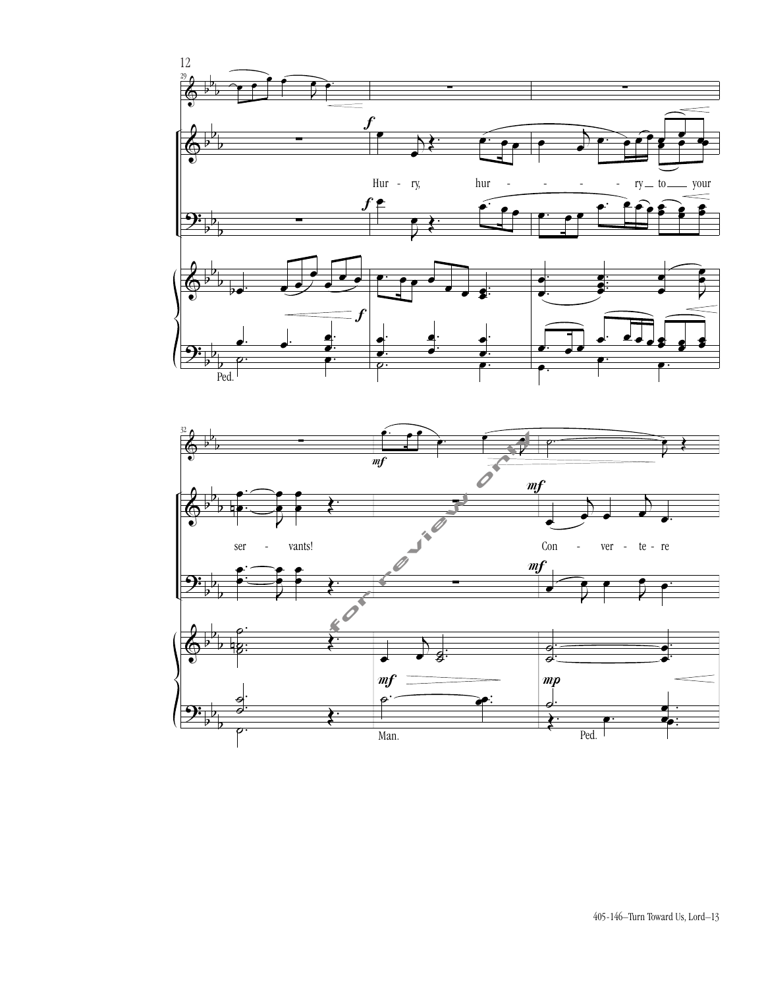

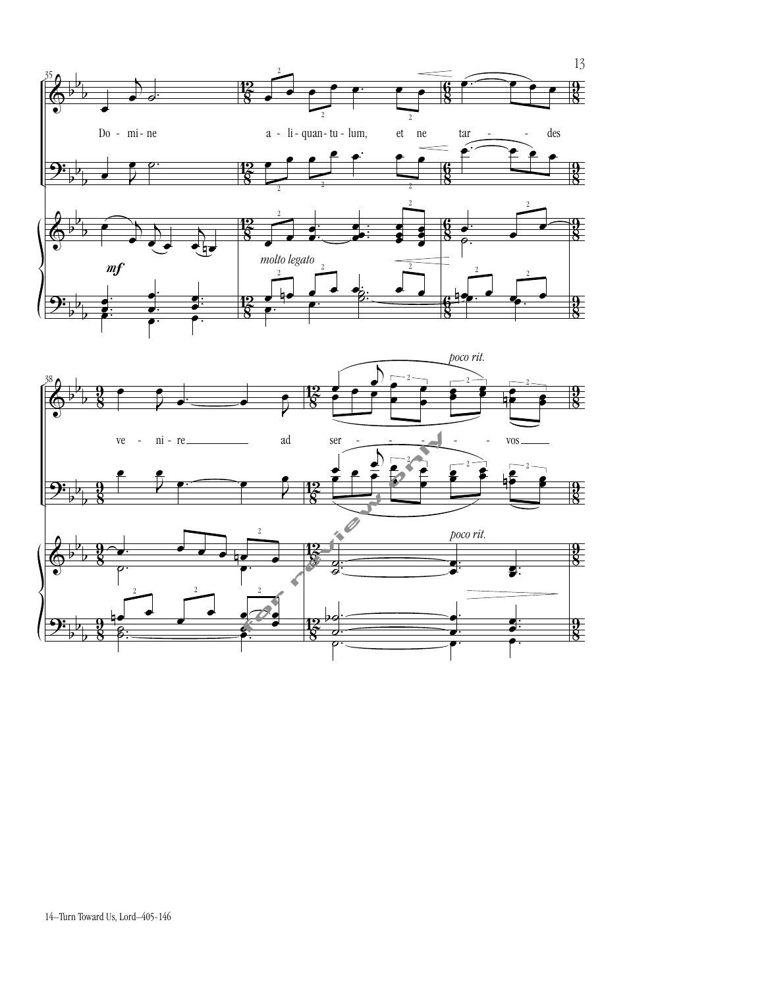